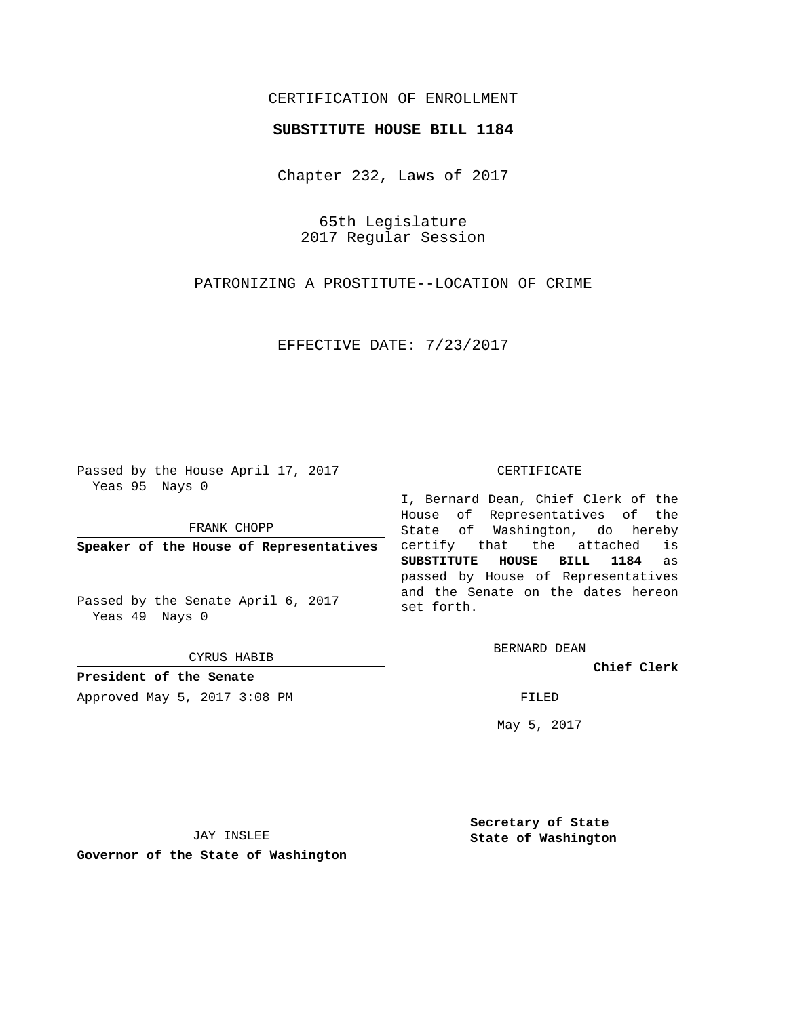# CERTIFICATION OF ENROLLMENT

### **SUBSTITUTE HOUSE BILL 1184**

Chapter 232, Laws of 2017

65th Legislature 2017 Regular Session

PATRONIZING A PROSTITUTE--LOCATION OF CRIME

EFFECTIVE DATE: 7/23/2017

Passed by the House April 17, 2017 Yeas 95 Nays 0

FRANK CHOPP

**Speaker of the House of Representatives**

Passed by the Senate April 6, 2017 Yeas 49 Nays 0

CYRUS HABIB

**President of the Senate**

Approved May 5, 2017 3:08 PM FILED

#### CERTIFICATE

I, Bernard Dean, Chief Clerk of the House of Representatives of the State of Washington, do hereby certify that the attached is **SUBSTITUTE HOUSE BILL 1184** as passed by House of Representatives and the Senate on the dates hereon set forth.

BERNARD DEAN

**Chief Clerk**

May 5, 2017

JAY INSLEE

**Governor of the State of Washington**

**Secretary of State State of Washington**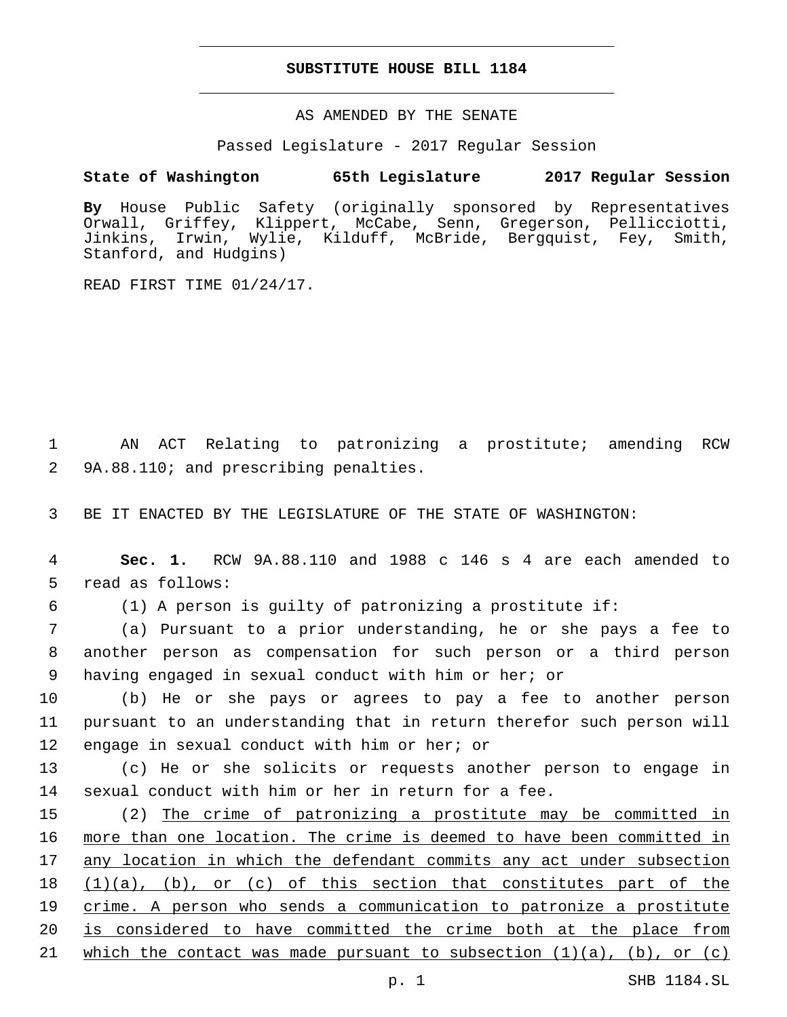## **SUBSTITUTE HOUSE BILL 1184**

AS AMENDED BY THE SENATE

Passed Legislature - 2017 Regular Session

# **State of Washington 65th Legislature 2017 Regular Session**

**By** House Public Safety (originally sponsored by Representatives Orwall, Griffey, Klippert, McCabe, Senn, Gregerson, Pellicciotti, Jinkins, Irwin, Wylie, Kilduff, McBride, Bergquist, Fey, Smith, Stanford, and Hudgins)

READ FIRST TIME 01/24/17.

1 AN ACT Relating to patronizing a prostitute; amending RCW 2 9A.88.110; and prescribing penalties.

3 BE IT ENACTED BY THE LEGISLATURE OF THE STATE OF WASHINGTON:

4 **Sec. 1.** RCW 9A.88.110 and 1988 c 146 s 4 are each amended to 5 read as follows:

6 (1) A person is guilty of patronizing a prostitute if:

7 (a) Pursuant to a prior understanding, he or she pays a fee to 8 another person as compensation for such person or a third person 9 having engaged in sexual conduct with him or her; or

10 (b) He or she pays or agrees to pay a fee to another person 11 pursuant to an understanding that in return therefor such person will 12 engage in sexual conduct with him or her; or

13 (c) He or she solicits or requests another person to engage in 14 sexual conduct with him or her in return for a fee.

 (2) The crime of patronizing a prostitute may be committed in more than one location. The crime is deemed to have been committed in 17 any location in which the defendant commits any act under subsection  $(1)(a)$ ,  $(b)$ , or  $(c)$  of this section that constitutes part of the crime. A person who sends a communication to patronize a prostitute is considered to have committed the crime both at the place from 21 which the contact was made pursuant to subsection  $(1)(a)$ ,  $(b)$ , or  $(c)$